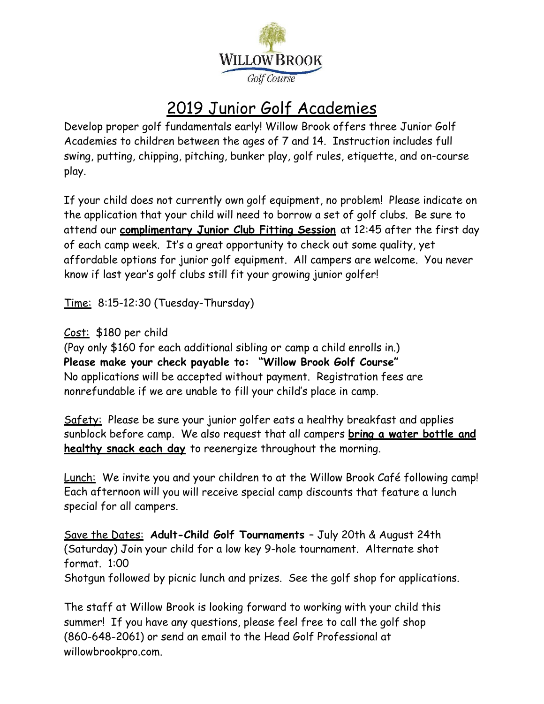

## 2019 Junior Golf Academies

Develop proper golf fundamentals early! Willow Brook offers three Junior Golf Academies to children between the ages of 7 and 14. Instruction includes full swing, putting, chipping, pitching, bunker play, golf rules, etiquette, and on-course play.

If your child does not currently own golf equipment, no problem! Please indicate on the application that your child will need to borrow a set of golf clubs. Be sure to attend our **complimentary Junior Club Fitting Session** at 12:45 after the first day of each camp week. It's a great opportunity to check out some quality, yet affordable options for junior golf equipment. All campers are welcome. You never know if last year's golf clubs still fit your growing junior golfer!

Time: 8:15-12:30 (Tuesday-Thursday)

Cost: \$180 per child

(Pay only \$160 for each additional sibling or camp a child enrolls in.) **Please make your check payable to: "Willow Brook Golf Course"** No applications will be accepted without payment. Registration fees are nonrefundable if we are unable to fill your child's place in camp.

Safety: Please be sure your junior golfer eats a healthy breakfast and applies sunblock before camp. We also request that all campers **bring a water bottle and healthy snack each day** to reenergize throughout the morning.

Lunch: We invite you and your children to at the Willow Brook Café following camp! Each afternoon will you will receive special camp discounts that feature a lunch special for all campers.

Save the Dates: **Adult-Child Golf Tournaments** – July 20th & August 24th (Saturday) Join your child for a low key 9-hole tournament. Alternate shot format. 1:00 Shotgun followed by picnic lunch and prizes. See the golf shop for applications.

The staff at Willow Brook is looking forward to working with your child this summer! If you have any questions, please feel free to call the golf shop (860-648-2061) or send an email to the Head Golf Professional at willowbrookpro.com.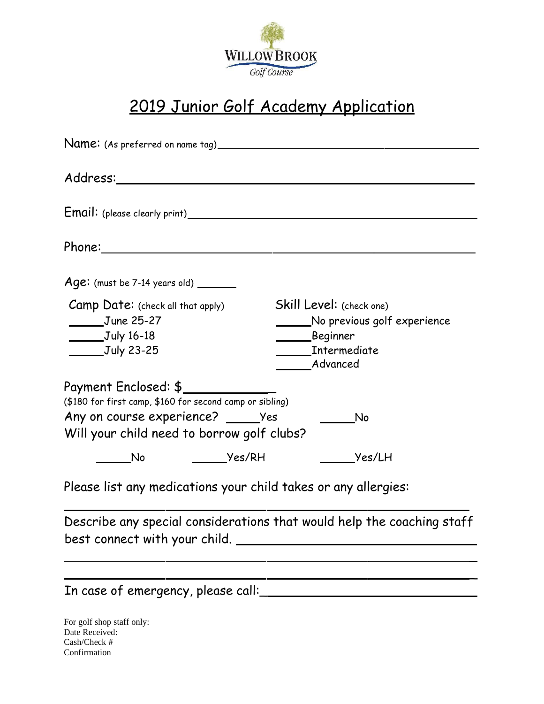

## 2019 Junior Golf Academy Application

| $Age:$ (must be 7-14 years old) $\_\_\_\_\_\_\_\_\_$                                                                                |                                                                                 |
|-------------------------------------------------------------------------------------------------------------------------------------|---------------------------------------------------------------------------------|
| Camp Date: (check all that apply)<br>$June 25-27$<br>$\underline{\hspace{1cm}}$ July 16-18<br>$\underline{\hspace{1cm}}$ July 23-25 | Skill Level: (check one)<br>No previous golf experience<br>Beginner<br>Advanced |
| Payment Enclosed: \$<br>(\$180 for first camp, \$160 for second camp or sibling)<br>Any on course experience? _______ Yes           |                                                                                 |
| Will your child need to borrow golf clubs?<br><b>No.</b>                                                                            | Yes/LH                                                                          |
| Please list any medications your child takes or any allergies:                                                                      |                                                                                 |

Describe any special considerations that would help the coaching staff best connect with your child.

> $\overline{a}$  $\overline{a}$

| In case of emergency, please call: |  |  |  |  |  |  |  |
|------------------------------------|--|--|--|--|--|--|--|
|------------------------------------|--|--|--|--|--|--|--|

For golf shop staff only: Date Received: Cash/Check # Confirmation